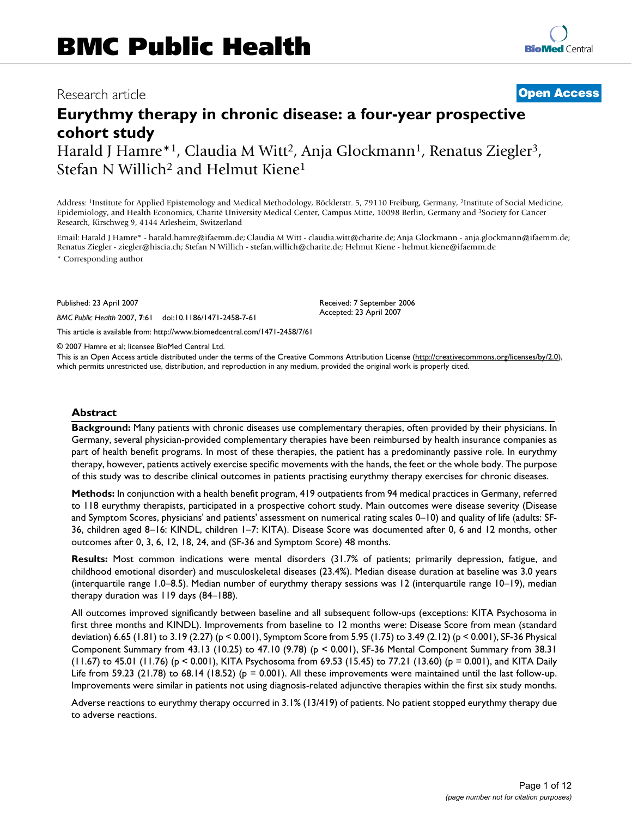# Research article **[Open Access](http://www.biomedcentral.com/info/about/charter/)**

# **Eurythmy therapy in chronic disease: a four-year prospective cohort study**

Harald J Hamre\*<sup>1</sup>, Claudia M Witt<sup>2</sup>, Anja Glockmann<sup>1</sup>, Renatus Ziegler<sup>3</sup>, Stefan N Willich<sup>2</sup> and Helmut Kiene<sup>1</sup>

Address: 1Institute for Applied Epistemology and Medical Methodology, Böcklerstr. 5, 79110 Freiburg, Germany, 2Institute of Social Medicine, Epidemiology, and Health Economics, Charité University Medical Center, Campus Mitte, 10098 Berlin, Germany and 3Society for Cancer Research, Kirschweg 9, 4144 Arlesheim, Switzerland

Email: Harald J Hamre\* - harald.hamre@ifaemm.de; Claudia M Witt - claudia.witt@charite.de; Anja Glockmann - anja.glockmann@ifaemm.de; Renatus Ziegler - ziegler@hiscia.ch; Stefan N Willich - stefan.willich@charite.de; Helmut Kiene - helmut.kiene@ifaemm.de \* Corresponding author

> Received: 7 September 2006 Accepted: 23 April 2007

Published: 23 April 2007

*BMC Public Health* 2007, **7**:61 doi:10.1186/1471-2458-7-61

[This article is available from: http://www.biomedcentral.com/1471-2458/7/61](http://www.biomedcentral.com/1471-2458/7/61)

© 2007 Hamre et al; licensee BioMed Central Ltd.

This is an Open Access article distributed under the terms of the Creative Commons Attribution License [\(http://creativecommons.org/licenses/by/2.0\)](http://creativecommons.org/licenses/by/2.0), which permits unrestricted use, distribution, and reproduction in any medium, provided the original work is properly cited.

#### **Abstract**

**Background:** Many patients with chronic diseases use complementary therapies, often provided by their physicians. In Germany, several physician-provided complementary therapies have been reimbursed by health insurance companies as part of health benefit programs. In most of these therapies, the patient has a predominantly passive role. In eurythmy therapy, however, patients actively exercise specific movements with the hands, the feet or the whole body. The purpose of this study was to describe clinical outcomes in patients practising eurythmy therapy exercises for chronic diseases.

**Methods:** In conjunction with a health benefit program, 419 outpatients from 94 medical practices in Germany, referred to 118 eurythmy therapists, participated in a prospective cohort study. Main outcomes were disease severity (Disease and Symptom Scores, physicians' and patients' assessment on numerical rating scales 0–10) and quality of life (adults: SF-36, children aged 8–16: KINDL, children 1–7: KITA). Disease Score was documented after 0, 6 and 12 months, other outcomes after 0, 3, 6, 12, 18, 24, and (SF-36 and Symptom Score) 48 months.

**Results:** Most common indications were mental disorders (31.7% of patients; primarily depression, fatigue, and childhood emotional disorder) and musculoskeletal diseases (23.4%). Median disease duration at baseline was 3.0 years (interquartile range 1.0–8.5). Median number of eurythmy therapy sessions was 12 (interquartile range 10–19), median therapy duration was 119 days (84–188).

All outcomes improved significantly between baseline and all subsequent follow-ups (exceptions: KITA Psychosoma in first three months and KINDL). Improvements from baseline to 12 months were: Disease Score from mean (standard deviation) 6.65 (1.81) to 3.19 (2.27) (p < 0.001), Symptom Score from 5.95 (1.75) to 3.49 (2.12) (p < 0.001), SF-36 Physical Component Summary from 43.13 (10.25) to 47.10 (9.78) (p < 0.001), SF-36 Mental Component Summary from 38.31 (11.67) to 45.01 (11.76) (p < 0.001), KITA Psychosoma from 69.53 (15.45) to 77.21 (13.60) (p = 0.001), and KITA Daily Life from 59.23 (21.78) to 68.14 (18.52) ( $p = 0.001$ ). All these improvements were maintained until the last follow-up. Improvements were similar in patients not using diagnosis-related adjunctive therapies within the first six study months.

Adverse reactions to eurythmy therapy occurred in 3.1% (13/419) of patients. No patient stopped eurythmy therapy due to adverse reactions.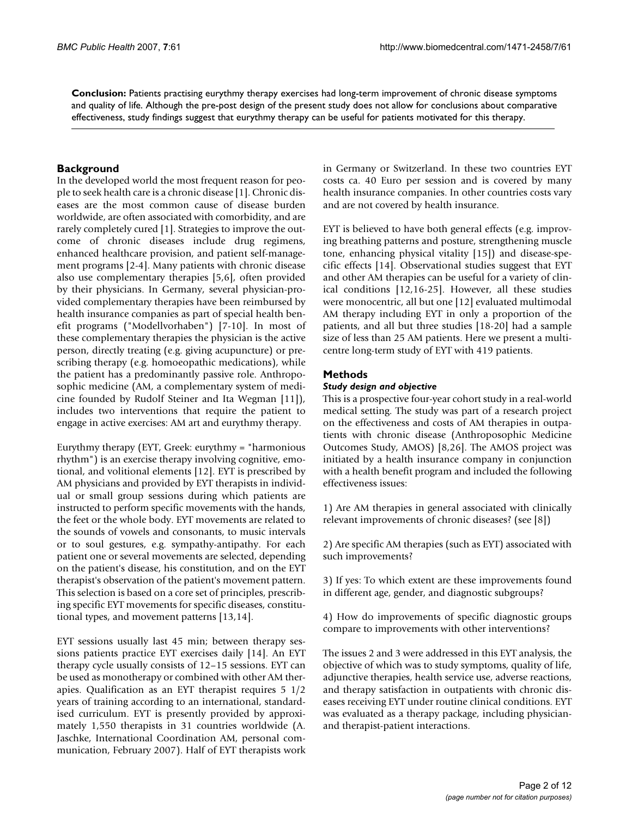**Conclusion:** Patients practising eurythmy therapy exercises had long-term improvement of chronic disease symptoms and quality of life. Although the pre-post design of the present study does not allow for conclusions about comparative effectiveness, study findings suggest that eurythmy therapy can be useful for patients motivated for this therapy.

## **Background**

In the developed world the most frequent reason for people to seek health care is a chronic disease [1]. Chronic diseases are the most common cause of disease burden worldwide, are often associated with comorbidity, and are rarely completely cured [1]. Strategies to improve the outcome of chronic diseases include drug regimens, enhanced healthcare provision, and patient self-management programs [2-4]. Many patients with chronic disease also use complementary therapies [5,6], often provided by their physicians. In Germany, several physician-provided complementary therapies have been reimbursed by health insurance companies as part of special health benefit programs ("Modellvorhaben") [7-10]. In most of these complementary therapies the physician is the active person, directly treating (e.g. giving acupuncture) or prescribing therapy (e.g. homoeopathic medications), while the patient has a predominantly passive role. Anthroposophic medicine (AM, a complementary system of medicine founded by Rudolf Steiner and Ita Wegman [11]), includes two interventions that require the patient to engage in active exercises: AM art and eurythmy therapy.

Eurythmy therapy (EYT, Greek: eurythmy = "harmonious rhythm") is an exercise therapy involving cognitive, emotional, and volitional elements [12]. EYT is prescribed by AM physicians and provided by EYT therapists in individual or small group sessions during which patients are instructed to perform specific movements with the hands, the feet or the whole body. EYT movements are related to the sounds of vowels and consonants, to music intervals or to soul gestures, e.g. sympathy-antipathy. For each patient one or several movements are selected, depending on the patient's disease, his constitution, and on the EYT therapist's observation of the patient's movement pattern. This selection is based on a core set of principles, prescribing specific EYT movements for specific diseases, constitutional types, and movement patterns [13,14].

EYT sessions usually last 45 min; between therapy sessions patients practice EYT exercises daily [14]. An EYT therapy cycle usually consists of 12–15 sessions. EYT can be used as monotherapy or combined with other AM therapies. Qualification as an EYT therapist requires 5 1/2 years of training according to an international, standardised curriculum. EYT is presently provided by approximately 1,550 therapists in 31 countries worldwide (A. Jaschke, International Coordination AM, personal communication, February 2007). Half of EYT therapists work in Germany or Switzerland. In these two countries EYT costs ca. 40 Euro per session and is covered by many health insurance companies. In other countries costs vary and are not covered by health insurance.

EYT is believed to have both general effects (e.g. improving breathing patterns and posture, strengthening muscle tone, enhancing physical vitality [15]) and disease-specific effects [14]. Observational studies suggest that EYT and other AM therapies can be useful for a variety of clinical conditions [12,16-25]. However, all these studies were monocentric, all but one [12] evaluated multimodal AM therapy including EYT in only a proportion of the patients, and all but three studies [18-20] had a sample size of less than 25 AM patients. Here we present a multicentre long-term study of EYT with 419 patients.

## **Methods**

## *Study design and objective*

This is a prospective four-year cohort study in a real-world medical setting. The study was part of a research project on the effectiveness and costs of AM therapies in outpatients with chronic disease (Anthroposophic Medicine Outcomes Study, AMOS) [8,26]. The AMOS project was initiated by a health insurance company in conjunction with a health benefit program and included the following effectiveness issues:

1) Are AM therapies in general associated with clinically relevant improvements of chronic diseases? (see [8])

2) Are specific AM therapies (such as EYT) associated with such improvements?

3) If yes: To which extent are these improvements found in different age, gender, and diagnostic subgroups?

4) How do improvements of specific diagnostic groups compare to improvements with other interventions?

The issues 2 and 3 were addressed in this EYT analysis, the objective of which was to study symptoms, quality of life, adjunctive therapies, health service use, adverse reactions, and therapy satisfaction in outpatients with chronic diseases receiving EYT under routine clinical conditions. EYT was evaluated as a therapy package, including physicianand therapist-patient interactions.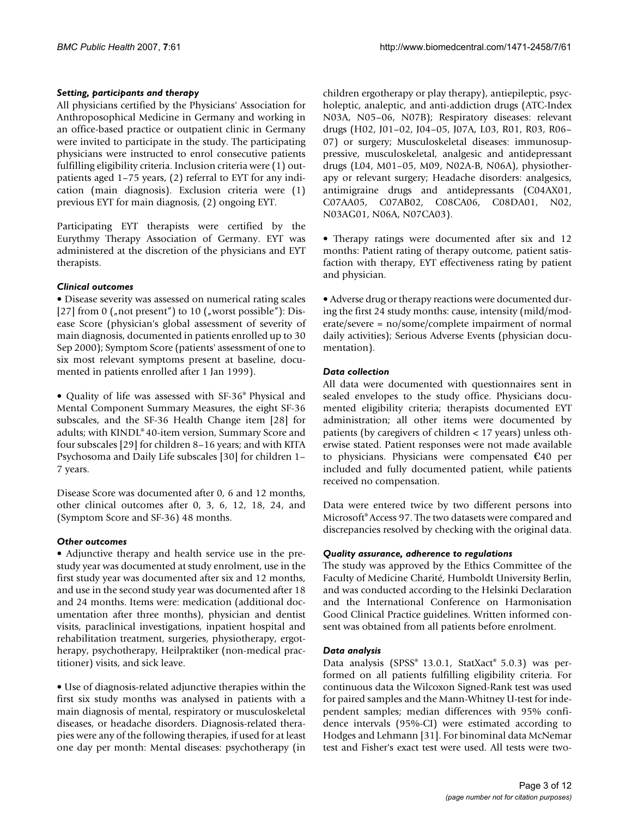## *Setting, participants and therapy*

All physicians certified by the Physicians' Association for Anthroposophical Medicine in Germany and working in an office-based practice or outpatient clinic in Germany were invited to participate in the study. The participating physicians were instructed to enrol consecutive patients fulfilling eligibility criteria. Inclusion criteria were (1) outpatients aged 1–75 years, (2) referral to EYT for any indication (main diagnosis). Exclusion criteria were (1) previous EYT for main diagnosis, (2) ongoing EYT.

Participating EYT therapists were certified by the Eurythmy Therapy Association of Germany. EYT was administered at the discretion of the physicians and EYT therapists.

## *Clinical outcomes*

• Disease severity was assessed on numerical rating scales [27] from 0 ( $\mu$  not present") to 10 ( $\mu$  worst possible"): Disease Score (physician's global assessment of severity of main diagnosis, documented in patients enrolled up to 30 Sep 2000); Symptom Score (patients' assessment of one to six most relevant symptoms present at baseline, documented in patients enrolled after 1 Jan 1999).

• Quality of life was assessed with SF-36® Physical and Mental Component Summary Measures, the eight SF-36 subscales, and the SF-36 Health Change item [28] for adults; with KINDL® 40-item version, Summary Score and four subscales [29] for children 8–16 years; and with KITA Psychosoma and Daily Life subscales [30] for children 1– 7 years.

Disease Score was documented after 0, 6 and 12 months, other clinical outcomes after 0, 3, 6, 12, 18, 24, and (Symptom Score and SF-36) 48 months.

## *Other outcomes*

• Adjunctive therapy and health service use in the prestudy year was documented at study enrolment, use in the first study year was documented after six and 12 months, and use in the second study year was documented after 18 and 24 months. Items were: medication (additional documentation after three months), physician and dentist visits, paraclinical investigations, inpatient hospital and rehabilitation treatment, surgeries, physiotherapy, ergotherapy, psychotherapy, Heilpraktiker (non-medical practitioner) visits, and sick leave.

• Use of diagnosis-related adjunctive therapies within the first six study months was analysed in patients with a main diagnosis of mental, respiratory or musculoskeletal diseases, or headache disorders. Diagnosis-related therapies were any of the following therapies, if used for at least one day per month: Mental diseases: psychotherapy (in children ergotherapy or play therapy), antiepileptic, psycholeptic, analeptic, and anti-addiction drugs (ATC-Index N03A, N05–06, N07B); Respiratory diseases: relevant drugs (H02, J01–02, J04–05, J07A, L03, R01, R03, R06– 07) or surgery; Musculoskeletal diseases: immunosuppressive, musculoskeletal, analgesic and antidepressant drugs (L04, M01–05, M09, N02A-B, N06A), physiotherapy or relevant surgery; Headache disorders: analgesics, antimigraine drugs and antidepressants (C04AX01, C07AA05, C07AB02, C08CA06, C08DA01, N02, N03AG01, N06A, N07CA03).

• Therapy ratings were documented after six and 12 months: Patient rating of therapy outcome, patient satisfaction with therapy, EYT effectiveness rating by patient and physician.

• Adverse drug or therapy reactions were documented during the first 24 study months: cause, intensity (mild/moderate/severe = no/some/complete impairment of normal daily activities); Serious Adverse Events (physician documentation).

## *Data collection*

All data were documented with questionnaires sent in sealed envelopes to the study office. Physicians documented eligibility criteria; therapists documented EYT administration; all other items were documented by patients (by caregivers of children < 17 years) unless otherwise stated. Patient responses were not made available to physicians. Physicians were compensated €40 per included and fully documented patient, while patients received no compensation.

Data were entered twice by two different persons into Microsoft® Access 97. The two datasets were compared and discrepancies resolved by checking with the original data.

#### *Quality assurance, adherence to regulations*

The study was approved by the Ethics Committee of the Faculty of Medicine Charité, Humboldt University Berlin, and was conducted according to the Helsinki Declaration and the International Conference on Harmonisation Good Clinical Practice guidelines. Written informed consent was obtained from all patients before enrolment.

#### *Data analysis*

Data analysis (SPSS® 13.0.1, StatXact® 5.0.3) was performed on all patients fulfilling eligibility criteria. For continuous data the Wilcoxon Signed-Rank test was used for paired samples and the Mann-Whitney U-test for independent samples; median differences with 95% confidence intervals (95%-CI) were estimated according to Hodges and Lehmann [31]. For binominal data McNemar test and Fisher's exact test were used. All tests were two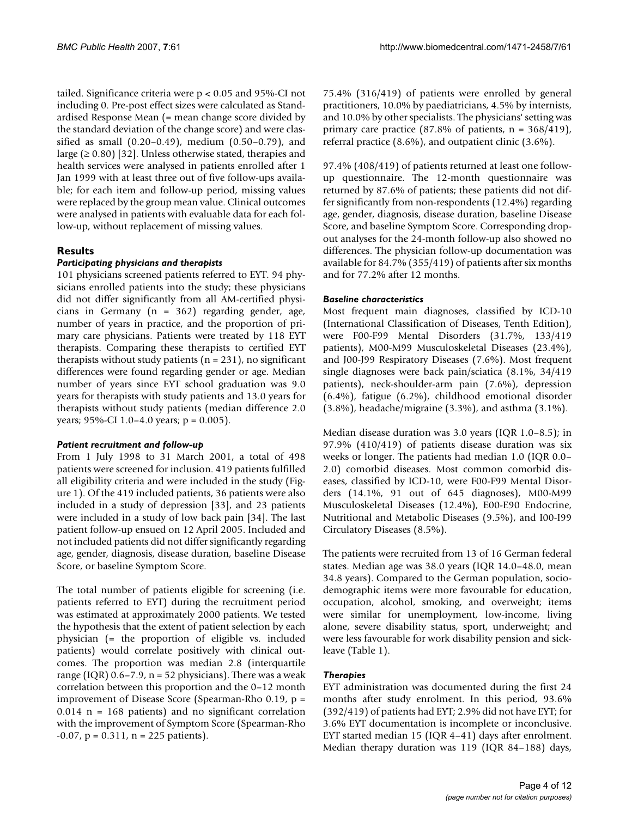tailed. Significance criteria were p < 0.05 and 95%-CI not including 0. Pre-post effect sizes were calculated as Standardised Response Mean (= mean change score divided by the standard deviation of the change score) and were classified as small (0.20–0.49), medium (0.50–0.79), and large ( $\geq$  0.80) [32]. Unless otherwise stated, therapies and health services were analysed in patients enrolled after 1 Jan 1999 with at least three out of five follow-ups available; for each item and follow-up period, missing values were replaced by the group mean value. Clinical outcomes were analysed in patients with evaluable data for each follow-up, without replacement of missing values.

## **Results**

## *Participating physicians and therapists*

101 physicians screened patients referred to EYT. 94 physicians enrolled patients into the study; these physicians did not differ significantly from all AM-certified physicians in Germany  $(n = 362)$  regarding gender, age, number of years in practice, and the proportion of primary care physicians. Patients were treated by 118 EYT therapists. Comparing these therapists to certified EYT therapists without study patients ( $n = 231$ ), no significant differences were found regarding gender or age. Median number of years since EYT school graduation was 9.0 years for therapists with study patients and 13.0 years for therapists without study patients (median difference 2.0 years;  $95\%$ -CI 1.0–4.0 years;  $p = 0.005$ ).

#### *Patient recruitment and follow-up*

From 1 July 1998 to 31 March 2001, a total of 498 patients were screened for inclusion. 419 patients fulfilled all eligibility criteria and were included in the study (Figure 1). Of the 419 included patients, 36 patients were also included in a study of depression [33], and 23 patients were included in a study of low back pain [34]. The last patient follow-up ensued on 12 April 2005. Included and not included patients did not differ significantly regarding age, gender, diagnosis, disease duration, baseline Disease Score, or baseline Symptom Score.

The total number of patients eligible for screening (i.e. patients referred to EYT) during the recruitment period was estimated at approximately 2000 patients. We tested the hypothesis that the extent of patient selection by each physician (= the proportion of eligible vs. included patients) would correlate positively with clinical outcomes. The proportion was median 2.8 (interquartile range (IQR)  $0.6 - 7.9$ , n = 52 physicians). There was a weak correlation between this proportion and the 0–12 month improvement of Disease Score (Spearman-Rho 0.19, p = 0.014 n = 168 patients) and no significant correlation with the improvement of Symptom Score (Spearman-Rho  $-0.07$ ,  $p = 0.311$ ,  $n = 225$  patients).

75.4% (316/419) of patients were enrolled by general practitioners, 10.0% by paediatricians, 4.5% by internists, and 10.0% by other specialists. The physicians' setting was primary care practice  $(87.8\% \text{ of patients}, n = 368/419)$ , referral practice (8.6%), and outpatient clinic (3.6%).

97.4% (408/419) of patients returned at least one followup questionnaire. The 12-month questionnaire was returned by 87.6% of patients; these patients did not differ significantly from non-respondents (12.4%) regarding age, gender, diagnosis, disease duration, baseline Disease Score, and baseline Symptom Score. Corresponding dropout analyses for the 24-month follow-up also showed no differences. The physician follow-up documentation was available for 84.7% (355/419) of patients after six months and for 77.2% after 12 months.

## *Baseline characteristics*

Most frequent main diagnoses, classified by ICD-10 (International Classification of Diseases, Tenth Edition), were F00-F99 Mental Disorders (31.7%, 133/419 patients), M00-M99 Musculoskeletal Diseases (23.4%), and J00-J99 Respiratory Diseases (7.6%). Most frequent single diagnoses were back pain/sciatica (8.1%, 34/419 patients), neck-shoulder-arm pain (7.6%), depression (6.4%), fatigue (6.2%), childhood emotional disorder (3.8%), headache/migraine (3.3%), and asthma (3.1%).

Median disease duration was 3.0 years (IQR 1.0–8.5); in 97.9% (410/419) of patients disease duration was six weeks or longer. The patients had median 1.0 (IQR 0.0– 2.0) comorbid diseases. Most common comorbid diseases, classified by ICD-10, were F00-F99 Mental Disorders (14.1%, 91 out of 645 diagnoses), M00-M99 Musculoskeletal Diseases (12.4%), E00-E90 Endocrine, Nutritional and Metabolic Diseases (9.5%), and I00-I99 Circulatory Diseases (8.5%).

The patients were recruited from 13 of 16 German federal states. Median age was 38.0 years (IQR 14.0–48.0, mean 34.8 years). Compared to the German population, sociodemographic items were more favourable for education, occupation, alcohol, smoking, and overweight; items were similar for unemployment, low-income, living alone, severe disability status, sport, underweight; and were less favourable for work disability pension and sickleave (Table 1).

## *Therapies*

EYT administration was documented during the first 24 months after study enrolment. In this period, 93.6% (392/419) of patients had EYT; 2.9% did not have EYT; for 3.6% EYT documentation is incomplete or inconclusive. EYT started median 15 (IQR 4–41) days after enrolment. Median therapy duration was 119 (IQR 84–188) days,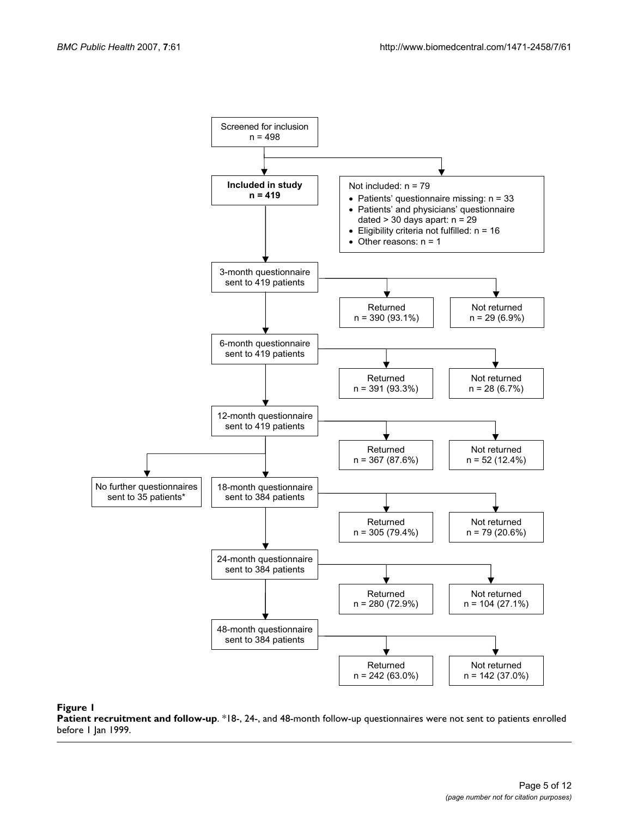

**Patient recruitment and follow-up**. \*18-, 24-, and 48-month follow-up questionnaires were not sent to patients enrolled before 1 Jan 1999.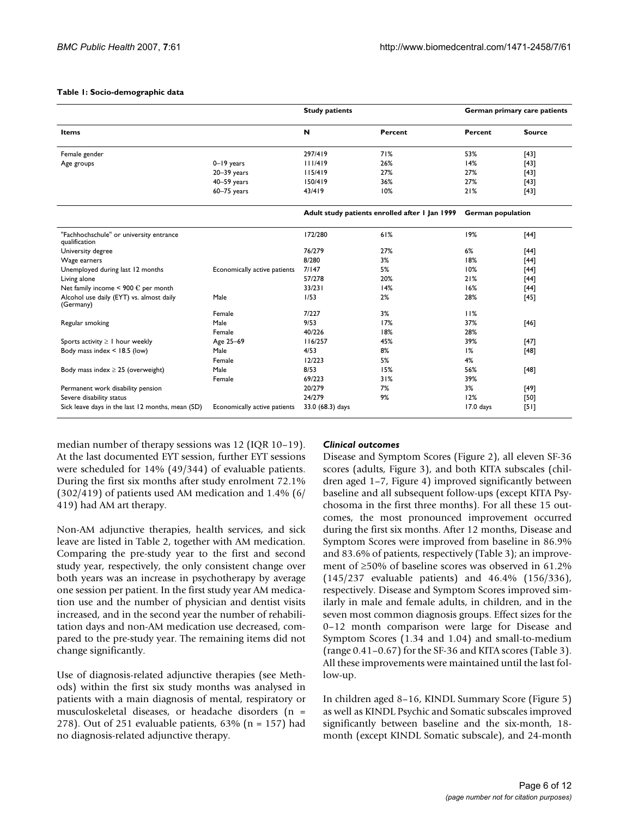#### **Table 1: Socio-demographic data**

|                                                          |                              | <b>Study patients</b>                          |         | German primary care patients |               |
|----------------------------------------------------------|------------------------------|------------------------------------------------|---------|------------------------------|---------------|
| <b>Items</b>                                             |                              | N                                              | Percent | Percent                      | <b>Source</b> |
| Female gender                                            |                              | 297/419                                        | 71%     | 53%                          | $[43]$        |
| Age groups                                               | $0 - 19$ years               | 111/419                                        | 26%     | 14%                          | $[43]$        |
|                                                          | $20 - 39$ years              | 115/419                                        | 27%     | 27%                          | $[43]$        |
|                                                          | $40-59$ years                | 150/419                                        | 36%     | 27%                          | $[43]$        |
|                                                          | $60 - 75$ years              | 43/419                                         | 10%     | 21%                          | $[43]$        |
|                                                          |                              | Adult study patients enrolled after I Jan 1999 |         | <b>German population</b>     |               |
| "Fachhochschule" or university entrance<br>qualification |                              | 172/280                                        | 61%     | 19%                          | $[44]$        |
| University degree                                        |                              | 76/279                                         | 27%     | 6%                           | $[44]$        |
| Wage earners                                             |                              | 8/280                                          | 3%      | 18%                          | $[44]$        |
| Unemployed during last 12 months                         | Economically active patients | 7/147                                          | 5%      | 10%                          | $[44]$        |
| Living alone                                             |                              | 57/278                                         | 20%     | 21%                          | [44]          |
| Net family income < 900 $\epsilon$ per month             |                              | 33/231                                         | 14%     | 16%                          | $[44]$        |
| Alcohol use daily (EYT) vs. almost daily<br>(Germany)    | Male                         | 1/53                                           | 2%      | 28%                          | $[45]$        |
|                                                          | Female                       | 7/227                                          | 3%      | 11%                          |               |
| Regular smoking                                          | Male                         | 9/53                                           | 17%     | 37%                          | $[46]$        |
|                                                          | Female                       | 40/226                                         | 18%     | 28%                          |               |
| Sports activity $\geq 1$ hour weekly                     | Age 25-69                    | 116/257                                        | 45%     | 39%                          | $[47]$        |
| Body mass index $<$ 18.5 (low)                           | Male                         | 4/53                                           | 8%      | 1%                           | $[48]$        |
|                                                          | Female                       | 12/223                                         | 5%      | 4%                           |               |
| Body mass index $\geq$ 25 (overweight)                   | Male                         | 8/53                                           | 15%     | 56%                          | $[48]$        |
|                                                          | Female                       | 69/223                                         | 31%     | 39%                          |               |
| Permanent work disability pension                        |                              | 20/279                                         | 7%      | 3%                           | $[49]$        |
| Severe disability status                                 |                              | 24/279                                         | 9%      | 12%                          | [50]          |
| Sick leave days in the last 12 months, mean (SD)         | Economically active patients | 33.0 (68.3) days                               |         | 17.0 days                    | [5]           |

median number of therapy sessions was 12 (IQR 10–19). At the last documented EYT session, further EYT sessions were scheduled for 14% (49/344) of evaluable patients. During the first six months after study enrolment 72.1% (302/419) of patients used AM medication and 1.4% (6/ 419) had AM art therapy.

Non-AM adjunctive therapies, health services, and sick leave are listed in Table 2, together with AM medication. Comparing the pre-study year to the first and second study year, respectively, the only consistent change over both years was an increase in psychotherapy by average one session per patient. In the first study year AM medication use and the number of physician and dentist visits increased, and in the second year the number of rehabilitation days and non-AM medication use decreased, compared to the pre-study year. The remaining items did not change significantly.

Use of diagnosis-related adjunctive therapies (see Methods) within the first six study months was analysed in patients with a main diagnosis of mental, respiratory or musculoskeletal diseases, or headache disorders (n = 278). Out of 251 evaluable patients,  $63\%$  (n = 157) had no diagnosis-related adjunctive therapy.

#### *Clinical outcomes*

Disease and Symptom Scores (Figure 2), all eleven SF-36 scores (adults, Figure 3), and both KITA subscales (children aged 1–7, Figure 4) improved significantly between baseline and all subsequent follow-ups (except KITA Psychosoma in the first three months). For all these 15 outcomes, the most pronounced improvement occurred during the first six months. After 12 months, Disease and Symptom Scores were improved from baseline in 86.9% and 83.6% of patients, respectively (Table 3); an improvement of ≥50% of baseline scores was observed in 61.2% (145/237 evaluable patients) and 46.4% (156/336), respectively. Disease and Symptom Scores improved similarly in male and female adults, in children, and in the seven most common diagnosis groups. Effect sizes for the 0–12 month comparison were large for Disease and Symptom Scores (1.34 and 1.04) and small-to-medium (range 0.41–0.67) for the SF-36 and KITA scores (Table 3). All these improvements were maintained until the last follow-up.

In children aged 8–16, KINDL Summary Score (Figure 5) as well as KINDL Psychic and Somatic subscales improved significantly between baseline and the six-month, 18 month (except KINDL Somatic subscale), and 24-month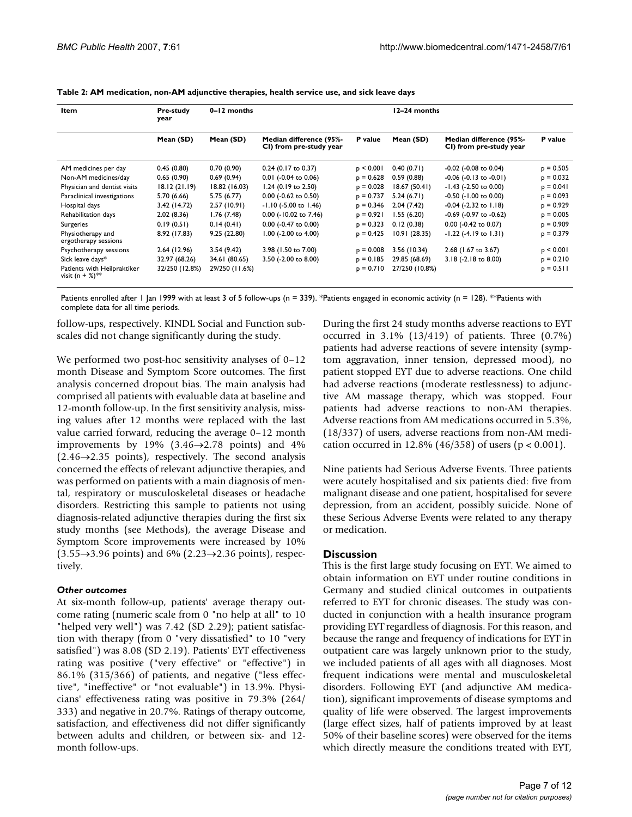| Item                                            | <b>Pre-study</b><br>year | 0-12 months    |                                                    |             | 12-24 months   |                                                    |             |
|-------------------------------------------------|--------------------------|----------------|----------------------------------------------------|-------------|----------------|----------------------------------------------------|-------------|
|                                                 | Mean (SD)                | Mean (SD)      | Median difference (95%-<br>CI) from pre-study year | P value     | Mean (SD)      | Median difference (95%-<br>CI) from pre-study year | P value     |
| AM medicines per day                            | 0.45(0.80)               | 0.70(0.90)     | $0.24$ (0.17 to 0.37)                              | p < 0.001   | 0.40(0.71)     | $-0.02$ ( $-0.08$ to 0.04)                         | $p = 0.505$ |
| Non-AM medicines/day                            | 0.65(0.90)               | 0.69(0.94)     | $0.01$ (-0.04 to 0.06)                             | $p = 0.628$ | 0.59(0.88)     | $-0.06$ ( $-0.13$ to $-0.01$ )                     | $p = 0.032$ |
| Physician and dentist visits                    | 18.12(21.19)             | 18.82(16.03)   | 1.24 (0.19 to 2.50)                                | $p = 0.028$ | 18.67(50.41)   | $-1.43$ ( $-2.50$ to 0.00)                         | $p = 0.041$ |
| Paraclinical investigations                     | 5.70 (6.66)              | 5.75 (6.77)    | $0.00$ (-0.62 to 0.50)                             | $p = 0.737$ | 5.24(6.71)     | $-0.50$ ( $-1.00$ to 0.00)                         | $p = 0.093$ |
| Hospital days                                   | 3.42 (14.72)             | 2.57(10.91)    | $-1.10$ ( $-5.00$ to 1.46)                         | $p = 0.346$ | 2.04(7.42)     | $-0.04$ ( $-2.32$ to $1.18$ )                      | $p = 0.929$ |
| Rehabilitation days                             | 2.02(8.36)               | 1.76(7.48)     | 0.00 (-10.02 to 7.46)                              | $p = 0.921$ | 1.55(6.20)     | $-0.69$ ( $-0.97$ to $-0.62$ )                     | $p = 0.005$ |
| Surgeries                                       | 0.19(0.51)               | 0.14(0.41)     | $0.00$ (-0.47 to 0.00)                             | $p = 0.323$ | 0.12(0.38)     | $0.00$ (-0.42 to 0.07)                             | $p = 0.909$ |
| Physiotherapy and<br>ergotherapy sessions       | 8.92 (17.83)             | 9.25(22.80)    | 1.00 (-2.00 to 4.00)                               | $p = 0.425$ | 10.91(28.35)   | $-1.22$ ( $-4.19$ to $1.31$ )                      | $p = 0.379$ |
| Psychotherapy sessions                          | 2.64(12.96)              | 3.54(9.42)     | 3.98 (1.50 to 7.00)                                | $p = 0.008$ | 3.56(10.34)    | 2.68 (1.67 to 3.67)                                | p < 0.001   |
| Sick leave days*                                | 32.97 (68.26)            | 34.61 (80.65)  | 3.50 (-2.00 to 8.00)                               | $p = 0.185$ | 29.85 (68.69)  | $3.18$ (-2.18 to 8.00)                             | $p = 0.210$ |
| Patients with Heilpraktiker<br>visit $(n + %)*$ | 32/250 (12.8%)           | 29/250 (11.6%) |                                                    | $p = 0.710$ | 27/250 (10.8%) |                                                    | $p = 0.511$ |

**Table 2: AM medication, non-AM adjunctive therapies, health service use, and sick leave days**

Patients enrolled after 1 Jan 1999 with at least 3 of 5 follow-ups (n = 339). \*Patients engaged in economic activity (n = 128). \*\*Patients with complete data for all time periods.

follow-ups, respectively. KINDL Social and Function subscales did not change significantly during the study.

We performed two post-hoc sensitivity analyses of 0–12 month Disease and Symptom Score outcomes. The first analysis concerned dropout bias. The main analysis had comprised all patients with evaluable data at baseline and 12-month follow-up. In the first sensitivity analysis, missing values after 12 months were replaced with the last value carried forward, reducing the average 0–12 month improvements by 19% (3.46 $\rightarrow$ 2.78 points) and 4%  $(2.46 \rightarrow 2.35$  points), respectively. The second analysis concerned the effects of relevant adjunctive therapies, and was performed on patients with a main diagnosis of mental, respiratory or musculoskeletal diseases or headache disorders. Restricting this sample to patients not using diagnosis-related adjunctive therapies during the first six study months (see Methods), the average Disease and Symptom Score improvements were increased by 10%  $(3.55\rightarrow)3.96$  points) and 6%  $(2.23\rightarrow)2.36$  points), respectively.

#### *Other outcomes*

At six-month follow-up, patients' average therapy outcome rating (numeric scale from 0 "no help at all" to 10 "helped very well") was 7.42 (SD 2.29); patient satisfaction with therapy (from 0 "very dissatisfied" to 10 "very satisfied") was 8.08 (SD 2.19). Patients' EYT effectiveness rating was positive ("very effective" or "effective") in 86.1% (315/366) of patients, and negative ("less effective", "ineffective" or "not evaluable") in 13.9%. Physicians' effectiveness rating was positive in 79.3% (264/ 333) and negative in 20.7%. Ratings of therapy outcome, satisfaction, and effectiveness did not differ significantly between adults and children, or between six- and 12 month follow-ups.

During the first 24 study months adverse reactions to EYT occurred in  $3.1\%$  ( $13/419$ ) of patients. Three (0.7%) patients had adverse reactions of severe intensity (symptom aggravation, inner tension, depressed mood), no patient stopped EYT due to adverse reactions. One child had adverse reactions (moderate restlessness) to adjunctive AM massage therapy, which was stopped. Four patients had adverse reactions to non-AM therapies. Adverse reactions from AM medications occurred in 5.3%, (18/337) of users, adverse reactions from non-AM medication occurred in 12.8% (46/358) of users ( $p < 0.001$ ).

Nine patients had Serious Adverse Events. Three patients were acutely hospitalised and six patients died: five from malignant disease and one patient, hospitalised for severe depression, from an accident, possibly suicide. None of these Serious Adverse Events were related to any therapy or medication.

#### **Discussion**

This is the first large study focusing on EYT. We aimed to obtain information on EYT under routine conditions in Germany and studied clinical outcomes in outpatients referred to EYT for chronic diseases. The study was conducted in conjunction with a health insurance program providing EYT regardless of diagnosis. For this reason, and because the range and frequency of indications for EYT in outpatient care was largely unknown prior to the study, we included patients of all ages with all diagnoses. Most frequent indications were mental and musculoskeletal disorders. Following EYT (and adjunctive AM medication), significant improvements of disease symptoms and quality of life were observed. The largest improvements (large effect sizes, half of patients improved by at least 50% of their baseline scores) were observed for the items which directly measure the conditions treated with EYT,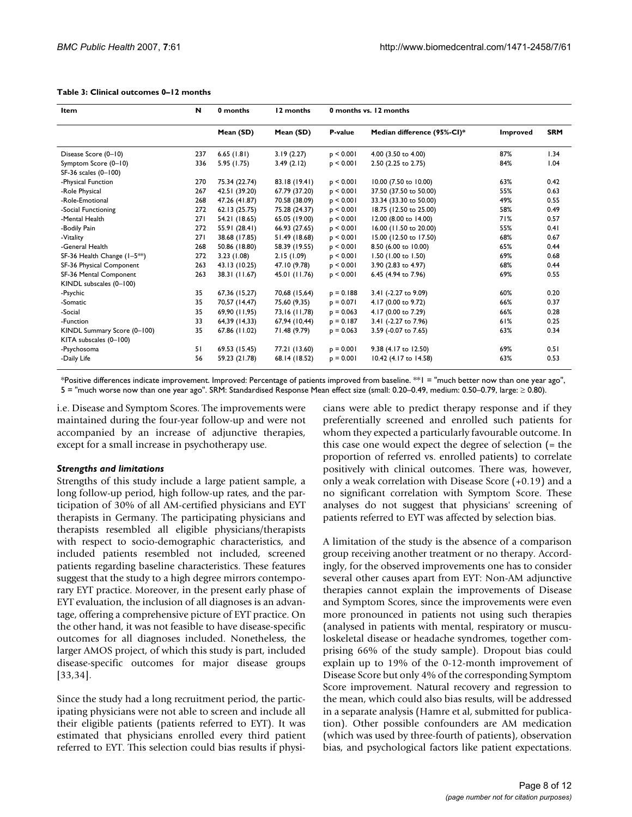| Item                                         | N   | 0 months      | 12 months       | 0 months vs. 12 months |                             |          |            |
|----------------------------------------------|-----|---------------|-----------------|------------------------|-----------------------------|----------|------------|
|                                              |     | Mean (SD)     | Mean (SD)       | P-value                | Median difference (95%-CI)* | Improved | <b>SRM</b> |
| Disease Score (0-10)                         | 237 | 6.65(1.81)    | 3.19(2.27)      | p < 0.001              | 4.00 (3.50 to 4.00)         | 87%      | 1.34       |
| Symptom Score (0-10)<br>SF-36 scales (0-100) | 336 | 5.95 (1.75)   | 3.49(2.12)      | p < 0.001              | 2.50 (2.25 to 2.75)         | 84%      | 1.04       |
| -Physical Function                           | 270 | 75.34 (22.74) | 83.18 (19.41)   | $p \le 0.001$          | 10.00 (7.50 to 10.00)       | 63%      | 0.42       |
| -Role Physical                               | 267 | 42.51 (39.20) | 67.79 (37.20)   | p < 0.001              | 37.50 (37.50 to 50.00)      | 55%      | 0.63       |
| -Role-Emotional                              | 268 | 47.26 (41.87) | 70.58 (38.09)   | p < 0.001              | 33.34 (33.30 to 50.00)      | 49%      | 0.55       |
| -Social Functioning                          | 272 | 62.13 (25.75) | 75.28 (24.37)   | p < 0.001              | 18.75 (12.50 to 25.00)      | 58%      | 0.49       |
| -Mental Health                               | 271 | 54.21 (18.65) | 65.05 (19.00)   | p < 0.001              | 12.00 (8.00 to 14.00)       | 71%      | 0.57       |
| -Bodily Pain                                 | 272 | 55.91 (28.41) | 66.93 (27.65)   | p < 0.001              | 16.00 (11.50 to 20.00)      | 55%      | 0.41       |
| -Vitality                                    | 271 | 38.68 (17.85) | 51.49 (18.68)   | p < 0.001              | 15.00 (12.50 to 17.50)      | 68%      | 0.67       |
| -General Health                              | 268 | 50.86 (18.80) | 58.39 (19.55)   | p < 0.001              | 8.50 (6.00 to 10.00)        | 65%      | 0.44       |
| SF-36 Health Change (1-5 <sup>**</sup> )     | 272 | 3.23(1.08)    | 2.15(1.09)      | p < 0.001              | 1.50 (1.00 to 1.50)         | 69%      | 0.68       |
| SF-36 Physical Component                     | 263 | 43.13 (10.25) | 47.10 (9.78)    | p < 0.001              | 3.90 (2.83 to 4.97)         | 68%      | 0.44       |
| SF-36 Mental Component                       | 263 | 38.31 (11.67) | 45.01 (11.76)   | p < 0.001              | 6.45 (4.94 to 7.96)         | 69%      | 0.55       |
| KINDL subscales (0-100)                      |     |               |                 |                        |                             |          |            |
| -Psychic                                     | 35  | 67,36 (15,27) | 70,68 (15,64)   | $p = 0.188$            | 3.41 (-2.27 to 9.09)        | 60%      | 0.20       |
| -Somatic                                     | 35  | 70,57 (14,47) | 75,60 (9,35)    | $p = 0.071$            | 4.17 (0.00 to 9.72)         | 66%      | 0.37       |
| -Social                                      | 35  | 69,90 (11,95) | 73, 16 (11, 78) | $p = 0.063$            | 4.17 (0.00 to 7.29)         | 66%      | 0.28       |
| -Function                                    | 33  | 64,39 (14,33) | 67,94 (10,44)   | $p = 0.187$            | 3.41 (-2.27 to 7.96)        | 61%      | 0.25       |
| KINDL Summary Score (0-100)                  | 35  | 67.86 (11.02) | 71.48 (9.79)    | $p = 0.063$            | 3.59 (-0.07 to 7.65)        | 63%      | 0.34       |
| KITA subscales (0-100)                       |     |               |                 |                        |                             |          |            |
| -Psychosoma                                  | 51  | 69.53 (15.45) | 77.21 (13.60)   | $p = 0.001$            | 9.38 (4.17 to 12.50)        | 69%      | 0.51       |
| -Daily Life                                  | 56  | 59.23 (21.78) | 68.14 (18.52)   | $p = 0.001$            | 10.42 (4.17 to 14.58)       | 63%      | 0.53       |

#### **Table 3: Clinical outcomes 0–12 months**

\*Positive differences indicate improvement. Improved: Percentage of patients improved from baseline. \*\*1 = "much better now than one year ago", 5 = "much worse now than one year ago". SRM: Standardised Response Mean effect size (small: 0.20–0.49, medium: 0.50–0.79, large: ≥ 0.80).

i.e. Disease and Symptom Scores. The improvements were maintained during the four-year follow-up and were not accompanied by an increase of adjunctive therapies, except for a small increase in psychotherapy use.

#### *Strengths and limitations*

Strengths of this study include a large patient sample, a long follow-up period, high follow-up rates, and the participation of 30% of all AM-certified physicians and EYT therapists in Germany. The participating physicians and therapists resembled all eligible physicians/therapists with respect to socio-demographic characteristics, and included patients resembled not included, screened patients regarding baseline characteristics. These features suggest that the study to a high degree mirrors contemporary EYT practice. Moreover, in the present early phase of EYT evaluation, the inclusion of all diagnoses is an advantage, offering a comprehensive picture of EYT practice. On the other hand, it was not feasible to have disease-specific outcomes for all diagnoses included. Nonetheless, the larger AMOS project, of which this study is part, included disease-specific outcomes for major disease groups [33,34].

Since the study had a long recruitment period, the participating physicians were not able to screen and include all their eligible patients (patients referred to EYT). It was estimated that physicians enrolled every third patient referred to EYT. This selection could bias results if physicians were able to predict therapy response and if they preferentially screened and enrolled such patients for whom they expected a particularly favourable outcome. In this case one would expect the degree of selection (= the proportion of referred vs. enrolled patients) to correlate positively with clinical outcomes. There was, however, only a weak correlation with Disease Score (+0.19) and a no significant correlation with Symptom Score. These analyses do not suggest that physicians' screening of patients referred to EYT was affected by selection bias.

A limitation of the study is the absence of a comparison group receiving another treatment or no therapy. Accordingly, for the observed improvements one has to consider several other causes apart from EYT: Non-AM adjunctive therapies cannot explain the improvements of Disease and Symptom Scores, since the improvements were even more pronounced in patients not using such therapies (analysed in patients with mental, respiratory or musculoskeletal disease or headache syndromes, together comprising 66% of the study sample). Dropout bias could explain up to 19% of the 0-12-month improvement of Disease Score but only 4% of the corresponding Symptom Score improvement. Natural recovery and regression to the mean, which could also bias results, will be addressed in a separate analysis (Hamre et al, submitted for publication). Other possible confounders are AM medication (which was used by three-fourth of patients), observation bias, and psychological factors like patient expectations.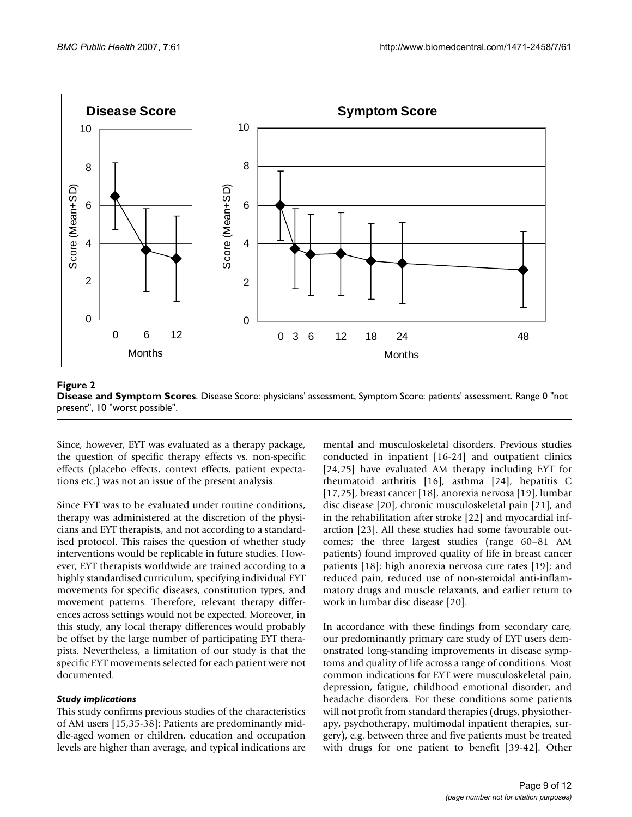

**Disease and Symptom Scores**. Disease Score: physicians' assessment, Symptom Score: patients' assessment. Range 0 "not present", 10 "worst possible".

Since, however, EYT was evaluated as a therapy package, the question of specific therapy effects vs. non-specific effects (placebo effects, context effects, patient expectations etc.) was not an issue of the present analysis.

Since EYT was to be evaluated under routine conditions, therapy was administered at the discretion of the physicians and EYT therapists, and not according to a standardised protocol. This raises the question of whether study interventions would be replicable in future studies. However, EYT therapists worldwide are trained according to a highly standardised curriculum, specifying individual EYT movements for specific diseases, constitution types, and movement patterns. Therefore, relevant therapy differences across settings would not be expected. Moreover, in this study, any local therapy differences would probably be offset by the large number of participating EYT therapists. Nevertheless, a limitation of our study is that the specific EYT movements selected for each patient were not documented.

## *Study implications*

This study confirms previous studies of the characteristics of AM users [15,35-38]: Patients are predominantly middle-aged women or children, education and occupation levels are higher than average, and typical indications are mental and musculoskeletal disorders. Previous studies conducted in inpatient [16-24] and outpatient clinics [24,25] have evaluated AM therapy including EYT for rheumatoid arthritis [16], asthma [24], hepatitis C [17,25], breast cancer [18], anorexia nervosa [19], lumbar disc disease [20], chronic musculoskeletal pain [21], and in the rehabilitation after stroke [22] and myocardial infarction [23]. All these studies had some favourable outcomes; the three largest studies (range 60–81 AM patients) found improved quality of life in breast cancer patients [18]; high anorexia nervosa cure rates [19]; and reduced pain, reduced use of non-steroidal anti-inflammatory drugs and muscle relaxants, and earlier return to work in lumbar disc disease [20].

In accordance with these findings from secondary care, our predominantly primary care study of EYT users demonstrated long-standing improvements in disease symptoms and quality of life across a range of conditions. Most common indications for EYT were musculoskeletal pain, depression, fatigue, childhood emotional disorder, and headache disorders. For these conditions some patients will not profit from standard therapies (drugs, physiotherapy, psychotherapy, multimodal inpatient therapies, surgery), e.g. between three and five patients must be treated with drugs for one patient to benefit [39-42]. Other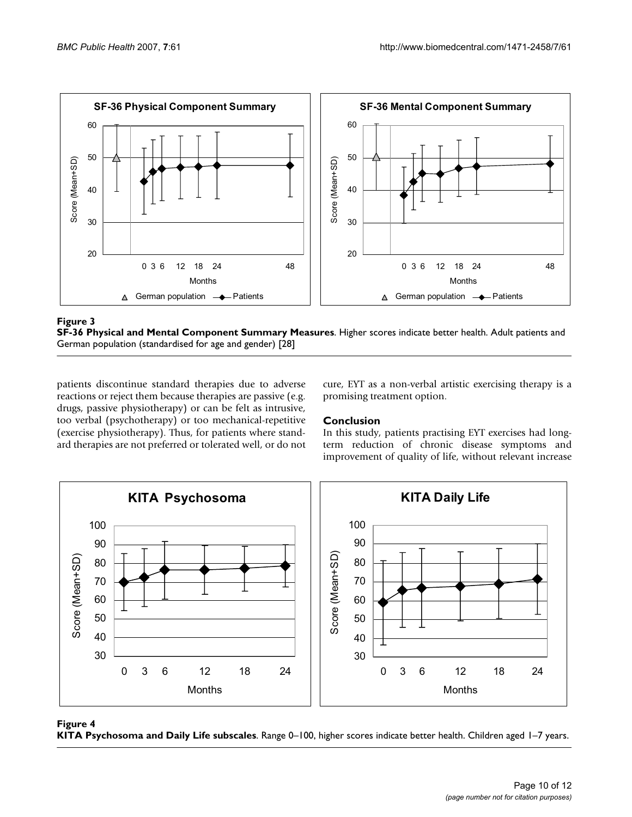

**SF-36 Physical and Mental Component Summary Measures**. Higher scores indicate better health. Adult patients and German population (standardised for age and gender) [28]

patients discontinue standard therapies due to adverse reactions or reject them because therapies are passive (e.g. drugs, passive physiotherapy) or can be felt as intrusive, too verbal (psychotherapy) or too mechanical-repetitive (exercise physiotherapy). Thus, for patients where standard therapies are not preferred or tolerated well, or do not cure, EYT as a non-verbal artistic exercising therapy is a promising treatment option.

## **Conclusion**

In this study, patients practising EYT exercises had longterm reduction of chronic disease symptoms and improvement of quality of life, without relevant increase



**Figure 4** 

**KITA Psychosoma and Daily Life subscales**. Range 0–100, higher scores indicate better health. Children aged 1–7 years.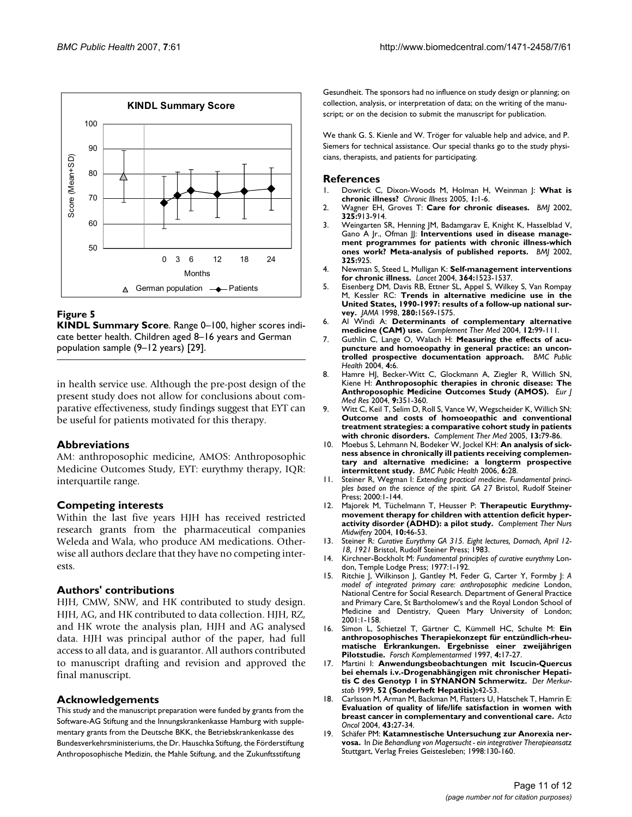

**KINDL Summary Score**. Range 0–100, higher scores indicate better health. Children aged 8–16 years and German population sample (9–12 years) [29].

in health service use. Although the pre-post design of the present study does not allow for conclusions about comparative effectiveness, study findings suggest that EYT can be useful for patients motivated for this therapy.

## **Abbreviations**

AM: anthroposophic medicine, AMOS: Anthroposophic Medicine Outcomes Study, EYT: eurythmy therapy, IQR: interquartile range.

## **Competing interests**

Within the last five years HJH has received restricted research grants from the pharmaceutical companies Weleda and Wala, who produce AM medications. Otherwise all authors declare that they have no competing interests.

## **Authors' contributions**

HJH, CMW, SNW, and HK contributed to study design. HJH, AG, and HK contributed to data collection. HJH, RZ, and HK wrote the analysis plan, HJH and AG analysed data. HJH was principal author of the paper, had full access to all data, and is guarantor. All authors contributed to manuscript drafting and revision and approved the final manuscript.

## **Acknowledgements**

This study and the manuscript preparation were funded by grants from the Software-AG Stiftung and the Innungskrankenkasse Hamburg with supplementary grants from the Deutsche BKK, the Betriebskrankenkasse des Bundesverkehrsministeriums, the Dr. Hauschka Stiftung, the Förderstiftung Anthroposophische Medizin, the Mahle Stiftung, and the Zukunftsstiftung

Gesundheit. The sponsors had no influence on study design or planning; on collection, analysis, or interpretation of data; on the writing of the manuscript; or on the decision to submit the manuscript for publication.

We thank G. S. Kienle and W. Tröger for valuable help and advice, and P. Siemers for technical assistance. Our special thanks go to the study physicians, therapists, and patients for participating.

## **References**

- 1. Dowrick C, Dixon-Woods M, Holman H, Weinman J: **[What is](http://www.ncbi.nlm.nih.gov/entrez/query.fcgi?cmd=Retrieve&db=PubMed&dopt=Abstract&list_uids=17136923) [chronic illness?](http://www.ncbi.nlm.nih.gov/entrez/query.fcgi?cmd=Retrieve&db=PubMed&dopt=Abstract&list_uids=17136923)** *Chronic Illness* 2005, **1:**1-6.
- 2. Wagner EH, Groves T: **[Care for chronic diseases.](http://www.ncbi.nlm.nih.gov/entrez/query.fcgi?cmd=Retrieve&db=PubMed&dopt=Abstract&list_uids=12399321)** *BMJ* 2002, **325:**913-914.
- 3. Weingarten SR, Henning JM, Badamgarav E, Knight K, Hasselblad V, Gano A Jr., Ofman JJ: [Interventions used in disease manage](http://www.ncbi.nlm.nih.gov/entrez/query.fcgi?cmd=Retrieve&db=PubMed&dopt=Abstract&list_uids=12399340)**[ment programmes for patients with chronic illness-which](http://www.ncbi.nlm.nih.gov/entrez/query.fcgi?cmd=Retrieve&db=PubMed&dopt=Abstract&list_uids=12399340) [ones work? Meta-analysis of published reports.](http://www.ncbi.nlm.nih.gov/entrez/query.fcgi?cmd=Retrieve&db=PubMed&dopt=Abstract&list_uids=12399340)** *BMJ* 2002, **325:**925.
- 4. Newman S, Steed L, Mulligan K: **[Self-management interventions](http://www.ncbi.nlm.nih.gov/entrez/query.fcgi?cmd=Retrieve&db=PubMed&dopt=Abstract&list_uids=15500899) [for chronic illness.](http://www.ncbi.nlm.nih.gov/entrez/query.fcgi?cmd=Retrieve&db=PubMed&dopt=Abstract&list_uids=15500899)** *Lancet* 2004, **364:**1523-1537.
- 5. Eisenberg DM, Davis RB, Ettner SL, Appel S, Wilkey S, Van Rompay M, Kessler RC: **[Trends in alternative medicine use in the](http://www.ncbi.nlm.nih.gov/entrez/query.fcgi?cmd=Retrieve&db=PubMed&dopt=Abstract&list_uids=9820257) [United States, 1990-1997: results of a follow-up national sur](http://www.ncbi.nlm.nih.gov/entrez/query.fcgi?cmd=Retrieve&db=PubMed&dopt=Abstract&list_uids=9820257)[vey.](http://www.ncbi.nlm.nih.gov/entrez/query.fcgi?cmd=Retrieve&db=PubMed&dopt=Abstract&list_uids=9820257)** *JAMA* 1998, **280:**1569-1575.
- 6. Al Windi A: **[Determinants of complementary alternative](http://www.ncbi.nlm.nih.gov/entrez/query.fcgi?cmd=Retrieve&db=PubMed&dopt=Abstract&list_uids=15561519) [medicine \(CAM\) use.](http://www.ncbi.nlm.nih.gov/entrez/query.fcgi?cmd=Retrieve&db=PubMed&dopt=Abstract&list_uids=15561519)** *Complement Ther Med* 2004, **12:**99-111.
- 7. Guthlin C, Lange O, Walach H: **[Measuring the effects of acu](http://www.ncbi.nlm.nih.gov/entrez/query.fcgi?cmd=Retrieve&db=PubMed&dopt=Abstract&list_uids=15113434)[puncture and homoeopathy in general practice: an uncon](http://www.ncbi.nlm.nih.gov/entrez/query.fcgi?cmd=Retrieve&db=PubMed&dopt=Abstract&list_uids=15113434)[trolled prospective documentation approach.](http://www.ncbi.nlm.nih.gov/entrez/query.fcgi?cmd=Retrieve&db=PubMed&dopt=Abstract&list_uids=15113434)** *BMC Public Health* 2004, **4:**6.
- 8. Hamre HJ, Becker-Witt C, Glockmann A, Ziegler R, Willich SN, Kiene H: **[Anthroposophic therapies in chronic disease: The](http://www.ncbi.nlm.nih.gov/entrez/query.fcgi?cmd=Retrieve&db=PubMed&dopt=Abstract&list_uids=15337636) [Anthroposophic Medicine Outcomes Study \(AMOS\).](http://www.ncbi.nlm.nih.gov/entrez/query.fcgi?cmd=Retrieve&db=PubMed&dopt=Abstract&list_uids=15337636)** *Eur J Med Res* 2004, **9:**351-360.
- 9. Witt C, Keil T, Selim D, Roll S, Vance W, Wegscheider K, Willich SN: **[Outcome and costs of homoeopathic and conventional](http://www.ncbi.nlm.nih.gov/entrez/query.fcgi?cmd=Retrieve&db=PubMed&dopt=Abstract&list_uids=16036164) treatment strategies: a comparative cohort study in patients [with chronic disorders.](http://www.ncbi.nlm.nih.gov/entrez/query.fcgi?cmd=Retrieve&db=PubMed&dopt=Abstract&list_uids=16036164)** *Complement Ther Med* 2005, **13:**79-86.
- 10. Moebus S, Lehmann N, Bodeker W, Jockel KH: **[An analysis of sick](http://www.ncbi.nlm.nih.gov/entrez/query.fcgi?cmd=Retrieve&db=PubMed&dopt=Abstract&list_uids=16472403)[ness absence in chronically ill patients receiving complemen](http://www.ncbi.nlm.nih.gov/entrez/query.fcgi?cmd=Retrieve&db=PubMed&dopt=Abstract&list_uids=16472403)tary and alternative medicine: a longterm prospective [intermittent study.](http://www.ncbi.nlm.nih.gov/entrez/query.fcgi?cmd=Retrieve&db=PubMed&dopt=Abstract&list_uids=16472403)** *BMC Public Health* 2006, **6:**28.
- 11. Steiner R, Wegman I: *Extending practical medicine. Fundamental principles based on the science of the spirit. GA 27* Bristol, Rudolf Steiner Press; 2000:1-144.
- 12. Majorek M, Tüchelmann T, Heusser P: **[Therapeutic Eurythmy](http://www.ncbi.nlm.nih.gov/entrez/query.fcgi?cmd=Retrieve&db=PubMed&dopt=Abstract&list_uids=14744506)[movement therapy for children with attention deficit hyper](http://www.ncbi.nlm.nih.gov/entrez/query.fcgi?cmd=Retrieve&db=PubMed&dopt=Abstract&list_uids=14744506)[activity disorder \(ADHD\): a pilot study.](http://www.ncbi.nlm.nih.gov/entrez/query.fcgi?cmd=Retrieve&db=PubMed&dopt=Abstract&list_uids=14744506)** *Complement Ther Nurs Midwifery* 2004, **10:**46-53.
- 13. Steiner R: *Curative Eurythmy GA 315. Eight lectures, Dornach, April 12- 18, 1921* Bristol, Rudolf Steiner Press; 1983.
- 14. Kirchner-Bockholt M: *Fundamental principles of curative eurythmy* London, Temple Lodge Press; 1977:1-192.
- 15. Ritchie J, Wilkinson J, Gantley M, Feder G, Carter Y, Formby J: *A model of integrated primary care: anthroposophic medicine* London, National Centre for Social Research. Department of General Practice and Primary Care, St Bartholomew's and the Royal London School of Medicine and Dentistry, Queen Mary University of London; 2001:1-158.
- 16. Simon L, Schietzel T, Gärtner C, Kümmell HC, Schulte M: **Ein anthroposophisches Therapiekonzept für entzündlich-rheumatische Erkrankungen. Ergebnisse einer zweijährigen Pilotstudie.** *Forsch Komplementarmed* 1997, **4:**17-27.
- 17. Martini I: **Anwendungsbeobachtungen mit Iscucin-Quercus bei ehemals i.v.-Drogenabhängigen mit chronischer Hepatitis C des Genotyp 1 in SYNANON Schmerwitz.** *Der Merkurstab* 1999, **52 (Sonderheft Hepatitis):**42-53.
- 18. Carlsson M, Arman M, Backman M, Flatters U, Hatschek T, Hamrin E: **[Evaluation of quality of life/life satisfaction in women with](http://www.ncbi.nlm.nih.gov/entrez/query.fcgi?cmd=Retrieve&db=PubMed&dopt=Abstract&list_uids=15068317) [breast cancer in complementary and conventional care.](http://www.ncbi.nlm.nih.gov/entrez/query.fcgi?cmd=Retrieve&db=PubMed&dopt=Abstract&list_uids=15068317)** *Acta Oncol* 2004, **43:**27-34.
- 19. Schäfer PM: **Katamnestische Untersuchung zur Anorexia nervosa.** In *Die Behandlung von Magersucht - ein integrativer Therapieansatz* Stuttgart, Verlag Freies Geistesleben; 1998:130-160.